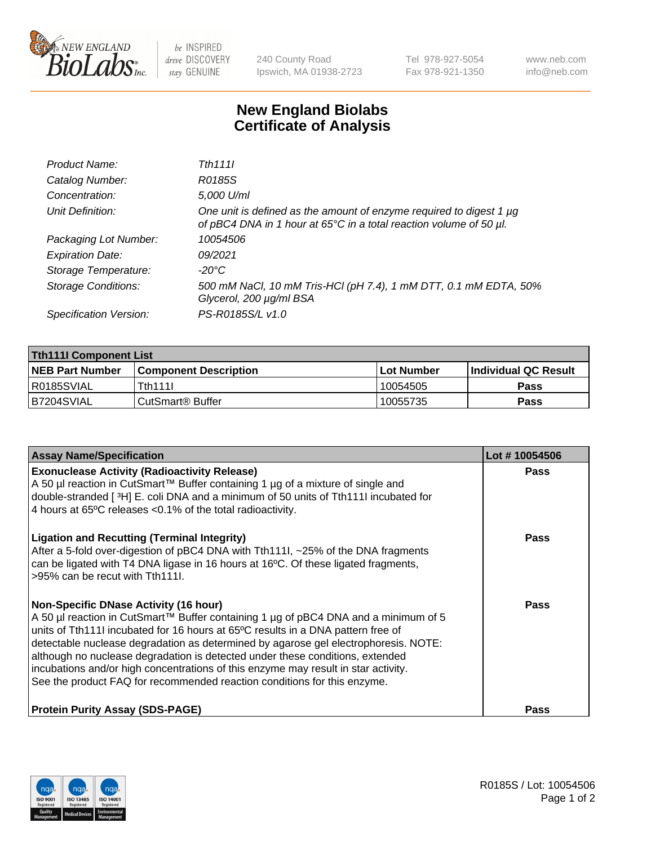

 $be$  INSPIRED drive DISCOVERY stay GENUINE

240 County Road Ipswich, MA 01938-2723 Tel 978-927-5054 Fax 978-921-1350 www.neb.com info@neb.com

## **New England Biolabs Certificate of Analysis**

| Product Name:              | Tth 1111                                                                                                                                  |
|----------------------------|-------------------------------------------------------------------------------------------------------------------------------------------|
| Catalog Number:            | R0185S                                                                                                                                    |
| Concentration:             | 5,000 U/ml                                                                                                                                |
| Unit Definition:           | One unit is defined as the amount of enzyme required to digest 1 µg<br>of pBC4 DNA in 1 hour at 65°C in a total reaction volume of 50 µl. |
| Packaging Lot Number:      | 10054506                                                                                                                                  |
| <b>Expiration Date:</b>    | 09/2021                                                                                                                                   |
| Storage Temperature:       | -20°C                                                                                                                                     |
| <b>Storage Conditions:</b> | 500 mM NaCl, 10 mM Tris-HCl (pH 7.4), 1 mM DTT, 0.1 mM EDTA, 50%<br>Glycerol, 200 µg/ml BSA                                               |
| Specification Version:     | PS-R0185S/L v1.0                                                                                                                          |

| <b>Tth111I Component List</b> |                              |             |                             |  |  |
|-------------------------------|------------------------------|-------------|-----------------------------|--|--|
| <b>NEB Part Number</b>        | <b>Component Description</b> | ⊺Lot Number | <b>Individual QC Result</b> |  |  |
| I R0185SVIAL                  | Tth111l                      | 10054505    | Pass                        |  |  |
| IB7204SVIAL                   | CutSmart <sup>®</sup> Buffer | 10055735    | Pass                        |  |  |

| <b>Assay Name/Specification</b>                                                                                                                                                                                                                                                                                                                                                                                                                                                                                                                                   | Lot #10054506 |
|-------------------------------------------------------------------------------------------------------------------------------------------------------------------------------------------------------------------------------------------------------------------------------------------------------------------------------------------------------------------------------------------------------------------------------------------------------------------------------------------------------------------------------------------------------------------|---------------|
| <b>Exonuclease Activity (Radioactivity Release)</b><br>A 50 µl reaction in CutSmart™ Buffer containing 1 µg of a mixture of single and<br>double-stranded [3H] E. coli DNA and a minimum of 50 units of Tth111I incubated for<br>4 hours at 65°C releases <0.1% of the total radioactivity.                                                                                                                                                                                                                                                                       | Pass          |
| <b>Ligation and Recutting (Terminal Integrity)</b><br>After a 5-fold over-digestion of pBC4 DNA with Tth1111, ~25% of the DNA fragments<br>can be ligated with T4 DNA ligase in 16 hours at 16°C. Of these ligated fragments,<br>>95% can be recut with Tth111.                                                                                                                                                                                                                                                                                                   | Pass          |
| <b>Non-Specific DNase Activity (16 hour)</b><br>A 50 µl reaction in CutSmart™ Buffer containing 1 µg of pBC4 DNA and a minimum of 5<br>units of Tth111I incubated for 16 hours at 65°C results in a DNA pattern free of<br>detectable nuclease degradation as determined by agarose gel electrophoresis. NOTE:<br>although no nuclease degradation is detected under these conditions, extended<br>incubations and/or high concentrations of this enzyme may result in star activity.<br>See the product FAQ for recommended reaction conditions for this enzyme. | Pass          |
| <b>Protein Purity Assay (SDS-PAGE)</b>                                                                                                                                                                                                                                                                                                                                                                                                                                                                                                                            | Pass          |